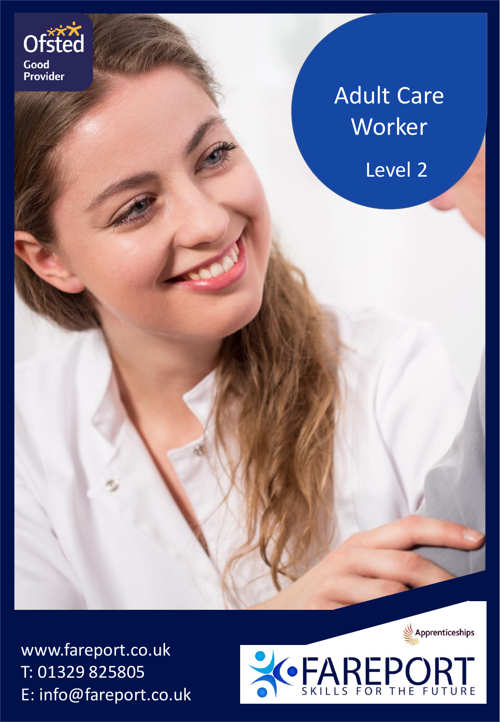

# Adult Care **Worker**

Level 2

www.fareport.co.uk T: 01329 825805 E: info@fareport.co.uk



Apprenticeships